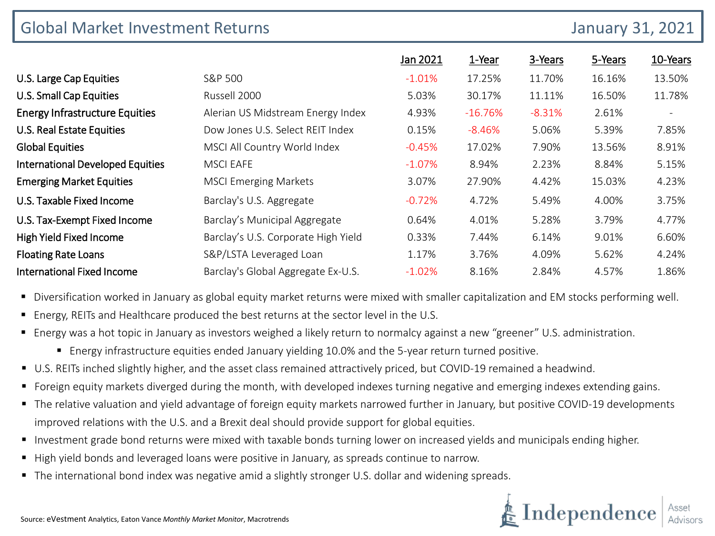| <b>Global Market Investment Returns</b> |                                     |          | <b>January 31, 2021</b> |          |         |                          |
|-----------------------------------------|-------------------------------------|----------|-------------------------|----------|---------|--------------------------|
|                                         |                                     | Jan 2021 | 1-Year                  | 3-Years  | 5-Years | 10-Years                 |
| U.S. Large Cap Equities                 | S&P 500                             | $-1.01%$ | 17.25%                  | 11.70%   | 16.16%  | 13.50%                   |
| <b>U.S. Small Cap Equities</b>          | Russell 2000                        | 5.03%    | 30.17%                  | 11.11%   | 16.50%  | 11.78%                   |
| <b>Energy Infrastructure Equities</b>   | Alerian US Midstream Energy Index   | 4.93%    | $-16.76%$               | $-8.31%$ | 2.61%   | $\overline{\phantom{a}}$ |
| U.S. Real Estate Equities               | Dow Jones U.S. Select REIT Index    | 0.15%    | $-8.46%$                | 5.06%    | 5.39%   | 7.85%                    |
| <b>Global Equities</b>                  | MSCI All Country World Index        | $-0.45%$ | 17.02%                  | 7.90%    | 13.56%  | 8.91%                    |
| <b>International Developed Equities</b> | <b>MSCI EAFE</b>                    | $-1.07%$ | 8.94%                   | 2.23%    | 8.84%   | 5.15%                    |
| <b>Emerging Market Equities</b>         | <b>MSCI Emerging Markets</b>        | 3.07%    | 27.90%                  | 4.42%    | 15.03%  | 4.23%                    |
| U.S. Taxable Fixed Income               | Barclay's U.S. Aggregate            | $-0.72%$ | 4.72%                   | 5.49%    | 4.00%   | 3.75%                    |
| U.S. Tax-Exempt Fixed Income            | Barclay's Municipal Aggregate       | 0.64%    | 4.01%                   | 5.28%    | 3.79%   | 4.77%                    |
| High Yield Fixed Income                 | Barclay's U.S. Corporate High Yield | 0.33%    | 7.44%                   | 6.14%    | 9.01%   | 6.60%                    |
| <b>Floating Rate Loans</b>              | S&P/LSTA Leveraged Loan             | 1.17%    | 3.76%                   | 4.09%    | 5.62%   | 4.24%                    |
| <b>International Fixed Income</b>       | Barclay's Global Aggregate Ex-U.S.  | $-1.02%$ | 8.16%                   | 2.84%    | 4.57%   | 1.86%                    |

Diversification worked in January as global equity market returns were mixed with smaller capitalization and EM stocks performing well.

- Energy, REITs and Healthcare produced the best returns at the sector level in the U.S.
- Energy was a hot topic in January as investors weighed a likely return to normalcy against a new "greener" U.S. administration.
	- Energy infrastructure equities ended January yielding 10.0% and the 5-year return turned positive.
- U.S. REITs inched slightly higher, and the asset class remained attractively priced, but COVID-19 remained a headwind.
- Foreign equity markets diverged during the month, with developed indexes turning negative and emerging indexes extending gains.
- The relative valuation and yield advantage of foreign equity markets narrowed further in January, but positive COVID-19 developments improved relations with the U.S. and a Brexit deal should provide support for global equities.
- **Investment grade bond returns were mixed with taxable bonds turning lower on increased yields and municipals ending higher.**
- High yield bonds and leveraged loans were positive in January, as spreads continue to narrow.
- The international bond index was negative amid a slightly stronger U.S. dollar and widening spreads.

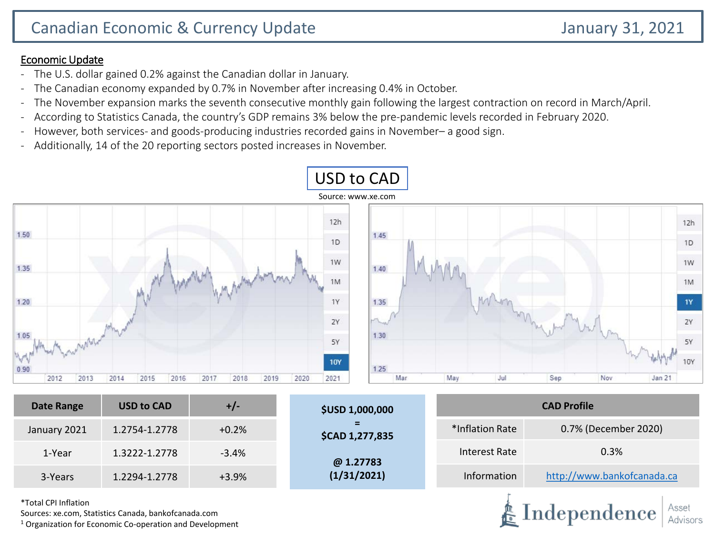### Economic Update

- The U.S. dollar gained 0.2% against the Canadian dollar in January.
- The Canadian economy expanded by 0.7% in November after increasing 0.4% in October.
- The November expansion marks the seventh consecutive monthly gain following the largest contraction on record in March/April.
- According to Statistics Canada, the country's GDP remains 3% below the pre-pandemic levels recorded in February 2020.
- However, both services- and goods-producing industries recorded gains in November– a good sign.
- Additionally, 14 of the 20 reporting sectors posted increases in November.



**@ 1.27783 (1/31/2021)**

Information [http://www.bankofcanada.ca](http://www.bankofcanada.ca/)

Independence

Interest Rate 0.3%

\*Total CPI Inflation

Sources: xe.com, Statistics Canada, bankofcanada.com

 $1$  Organization for Economic Co-operation and Development

1-Year 1.3222-1.2778 -3.4%

3-Years 1.2294-1.2778 +3.9%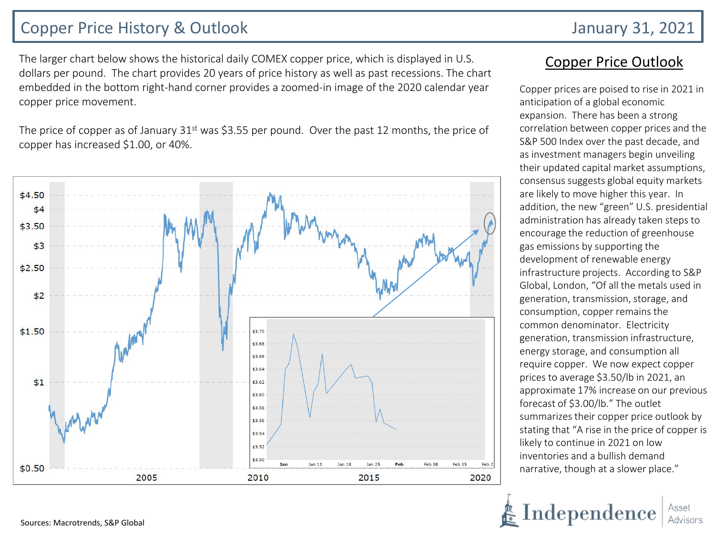# Copper Price History & Outlook January 31, 2021

The larger chart below shows the historical daily COMEX copper price, which is displayed in U.S. dollars per pound. The chart provides 20 years of price history as well as past recessions. The chart embedded in the bottom right-hand corner provides a zoomed-in image of the 2020 calendar year copper price movement.

The price of copper as of January  $31<sup>st</sup>$  was \$3.55 per pound. Over the past 12 months, the price of copper has increased \$1.00, or 40%.



### Copper Price Outlook

Copper prices are poised to rise in 2021 in anticipation of a global economic expansion. There has been a strong correlation between copper prices and the S&P 500 Index over the past decade, and as investment managers begin unveiling their updated capital market assumptions, consensus suggests global equity markets are likely to move higher this year. In addition, the new "green" U.S. presidential administration has already taken steps to encourage the reduction of greenhouse gas emissions by supporting the development of renewable energy infrastructure projects. According to S&P Global, London, "Of all the metals used in generation, transmission, storage, and consumption, copper remains the common denominator. Electricity generation, transmission infrastructure, energy storage, and consumption all require copper. We now expect copper prices to average \$3.50/lb in 2021, an approximate 17% increase on our previous forecast of \$3.00/lb." The outlet summarizes their copper price outlook by stating that "A rise in the price of copper is likely to continue in 2021 on low inventories and a bullish demand narrative, though at a slower place."

Independence